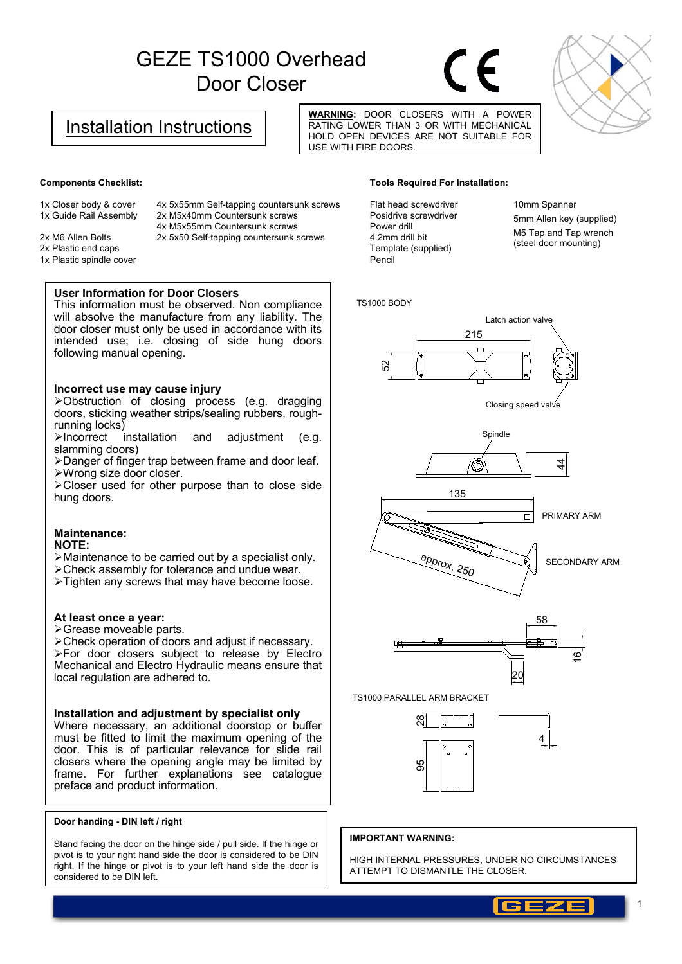## GEZE TS1000 Overhead Door Closer



### Installation Instructions

**WARNING:** DOOR CLOSERS WITH A POWER RATING LOWER THAN 3 OR WITH MECHANICAL HOLD OPEN DEVICES ARE NOT SUITABLE FOR USE WITH FIRE DOORS.

#### **Components Checklist:**

1x Closer body & cover 1x Guide Rail Assembly 4x 5x55mm Self-tapping countersunk screws 2x M5x40mm Countersunk screws 4x M5x55mm Countersunk screws

2x 5x50 Self-tapping countersunk screws

2x M6 Allen Bolts 2x Plastic end caps 1x Plastic spindle cover

#### **User Information for Door Closers**

This information must be observed. Non compliance will absolve the manufacture from any liability. The door closer must only be used in accordance with its intended use; i.e. closing of side hung doors following manual opening.

#### **Incorrect use may cause injury**

¾Obstruction of closing process (e.g. dragging doors, sticking weather strips/sealing rubbers, roughrunning locks)

¾Incorrect installation and adjustment (e.g. slamming doors)

¾Danger of finger trap between frame and door leaf. ¾Wrong size door closer.

¾Closer used for other purpose than to close side hung doors.

#### **Maintenance:**

#### **NOTE:**

¾Maintenance to be carried out by a specialist only.

¾Check assembly for tolerance and undue wear.

¾Tighten any screws that may have become loose.

#### **At least once a year:**

¾Grease moveable parts.

¾Check operation of doors and adjust if necessary. ¾For door closers subject to release by Electro Mechanical and Electro Hydraulic means ensure that local regulation are adhered to.

#### **Installation and adjustment by specialist only**

Where necessary, an additional doorstop or buffer must be fitted to limit the maximum opening of the door. This is of particular relevance for slide rail closers where the opening angle may be limited by frame. For further explanations see catalogue preface and product information.

#### **Door handing - DIN left / right**

Stand facing the door on the hinge side / pull side. If the hinge or pivot is to your right hand side the door is considered to be DIN right. If the hinge or pivot is to your left hand side the door is considered to be DIN left.

#### **Tools Required For Installation:**

Flat head screwdriver Posidrive screwdriver Power drill 4.2mm drill bit Template (supplied) Pencil

10mm Spanner 5mm Allen key (supplied) M5 Tap and Tap wrench (steel door mounting)

#### TS1000 BODY











TS1000 PARALLEL ARM BRACKET



# 4

#### **IMPORTANT WARNING:**

HIGH INTERNAL PRESSURES, UNDER NO CIRCUMSTANCES ATTEMPT TO DISMANTLE THE CLOSER.

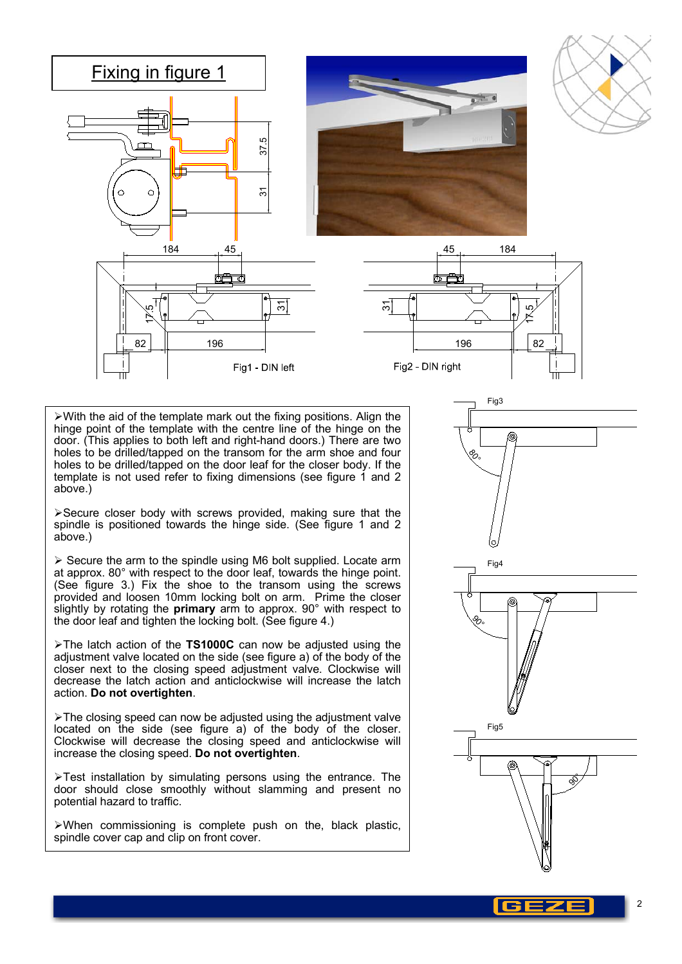

 $\triangleright$  With the aid of the template mark out the fixing positions. Align the hinge point of the template with the centre line of the hinge on the door. (This applies to both left and right-hand doors.) There are two holes to be drilled/tapped on the transom for the arm shoe and four holes to be drilled/tapped on the door leaf for the closer body. If the template is not used refer to fixing dimensions (see figure 1 and 2 above.)

¾Secure closer body with screws provided, making sure that the spindle is positioned towards the hinge side. (See figure 1 and 2 above.)

 $\triangleright$  Secure the arm to the spindle using M6 bolt supplied. Locate arm at approx. 80° with respect to the door leaf, towards the hinge point. (See figure 3.) Fix the shoe to the transom using the screws provided and loosen 10mm locking bolt on arm. Prime the closer slightly by rotating the **primary** arm to approx. 90° with respect to the door leaf and tighten the locking bolt. (See figure 4.)

¾The latch action of the **TS1000C** can now be adjusted using the adjustment valve located on the side (see figure a) of the body of the closer next to the closing speed adjustment valve. Clockwise will decrease the latch action and anticlockwise will increase the latch action. **Do not overtighten**.

 $\triangleright$ The closing speed can now be adjusted using the adjustment valve located on the side (see figure a) of the body of the closer. Clockwise will decrease the closing speed and anticlockwise will increase the closing speed. **Do not overtighten**.

 $\triangleright$ Test installation by simulating persons using the entrance. The door should close smoothly without slamming and present no potential hazard to traffic.

 $\triangleright$ When commissioning is complete push on the, black plastic, spindle cover cap and clip on front cover.



2